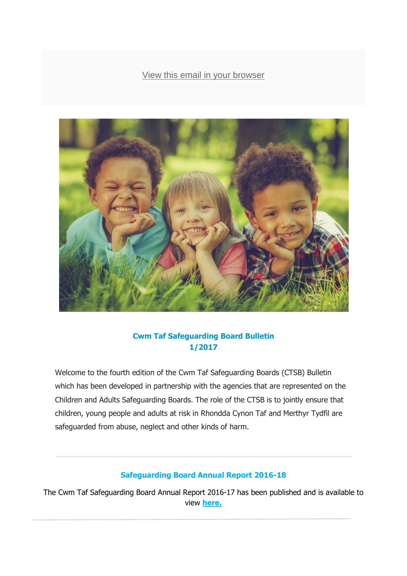### [View this email in your browser](http://mailchi.mp/ac23e6e781fe/ctsb-professional-e-bulletin-451243?e=%5bUNIQID%5d)



### **Cwm Taf Safeguarding Board Bulletin 1/2017**

Welcome to the fourth edition of the Cwm Taf Safeguarding Boards (CTSB) Bulletin which has been developed in partnership with the agencies that are represented on the Children and Adults Safeguarding Boards. The role of the CTSB is to jointly ensure that children, young people and adults at risk in Rhondda Cynon Taf and Merthyr Tydfil are safeguarded from abuse, neglect and other kinds of harm.

#### **Safeguarding Board Annual Report 2016-18**

The Cwm Taf Safeguarding Board Annual Report 2016-17 has been published and is available to view **[here.](mailto:http://www.cwmtafsafeguarding.org/media/1594/cwm-taf-safeguarding-annual-report-2016-2017-final-v6-270717.pdf)**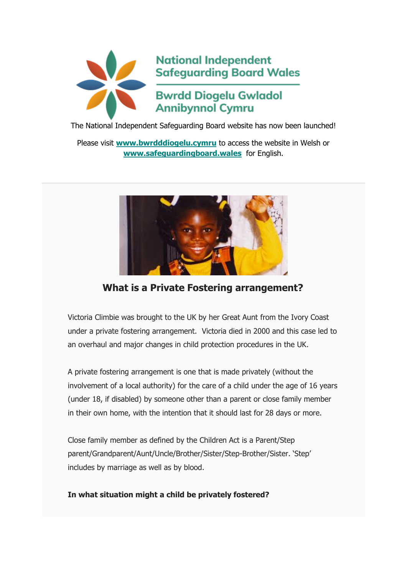

The National Independent Safeguarding Board website has now been launched!

Please visit **[www.bwrdddiogelu.cymru](http://www.bwrdddiogelu.cymru/)** to access the website in Welsh or **[www.safeguardingboard.wales](http://www.safeguardingboard.wales/)** for English.



## **What is a Private Fostering arrangement?**

Victoria Climbie was brought to the UK by her Great Aunt from the Ivory Coast under a private fostering arrangement. Victoria died in 2000 and this case led to an overhaul and major changes in child protection procedures in the UK.

A private fostering arrangement is one that is made privately (without the involvement of a local authority) for the care of a child under the age of 16 years (under 18, if disabled) by someone other than a parent or close family member in their own home, with the intention that it should last for 28 days or more.

Close family member as defined by the Children Act is a Parent/Step parent/Grandparent/Aunt/Uncle/Brother/Sister/Step-Brother/Sister. 'Step' includes by marriage as well as by blood.

#### **In what situation might a child be privately fostered?**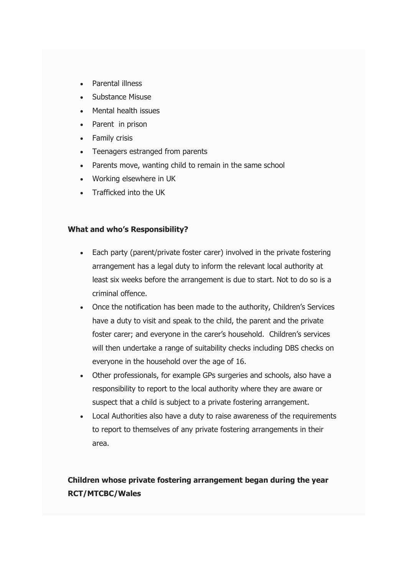- Parental illness
- Substance Misuse
- Mental health issues
- Parent in prison
- Family crisis
- Teenagers estranged from parents
- Parents move, wanting child to remain in the same school
- Working elsewhere in UK
- Trafficked into the UK

#### **What and who's Responsibility?**

- Each party (parent/private foster carer) involved in the private fostering arrangement has a legal duty to inform the relevant local authority at least six weeks before the arrangement is due to start. Not to do so is a criminal offence.
- Once the notification has been made to the authority, Children's Services have a duty to visit and speak to the child, the parent and the private foster carer; and everyone in the carer's household. Children's services will then undertake a range of suitability checks including DBS checks on everyone in the household over the age of 16.
- Other professionals, for example GPs surgeries and schools, also have a responsibility to report to the local authority where they are aware or suspect that a child is subject to a private fostering arrangement.
- Local Authorities also have a duty to raise awareness of the requirements to report to themselves of any private fostering arrangements in their area.

## **Children whose private fostering arrangement began during the year RCT/MTCBC/Wales**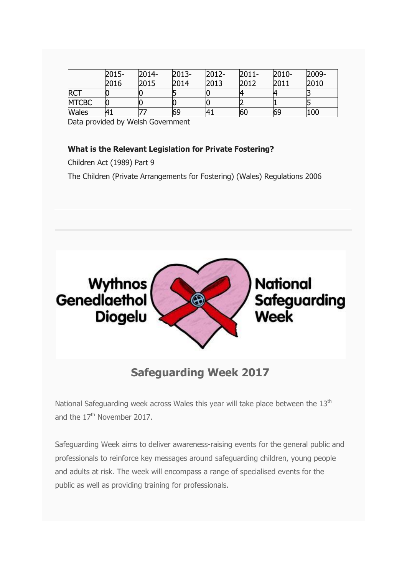|              | 2015-          | 2014- | 2013- | 2012-       | $2011 -$ | 2010- | 2009- |
|--------------|----------------|-------|-------|-------------|----------|-------|-------|
|              | 2016           | 2015  | 2014  | 2013        | 2012     | 2011  | 2010  |
| <b>RCT</b>   |                |       |       |             |          |       |       |
| <b>MTCBC</b> |                |       |       |             |          |       |       |
| <b>Wales</b> | 4 <sub>1</sub> |       | 69    | $H_{\perp}$ | 60       | 69    | 100   |

Data provided by Welsh Government

#### **What is the Relevant Legislation for Private Fostering?**

Children Act (1989) Part 9

The Children (Private Arrangements for Fostering) (Wales) Regulations 2006



# **Safeguarding Week 2017**

National Safeguarding week across Wales this year will take place between the  $13<sup>th</sup>$ and the  $17<sup>th</sup>$  November 2017.

Safeguarding Week aims to deliver awareness-raising events for the general public and professionals to reinforce key messages around safeguarding children, young people and adults at risk. The week will encompass a range of specialised events for the public as well as providing training for professionals.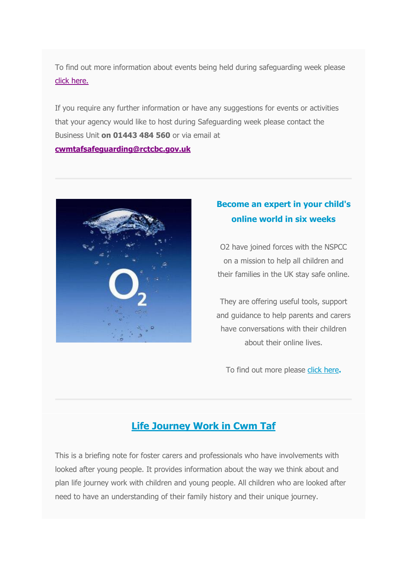To find out more information about events being held during safeguarding week please [click here.](http://www.cwmtafsafeguarding.org/media/1616/safeguarding-week-programme-2017-eng-final.pdf)

If you require any further information or have any suggestions for events or activities that your agency would like to host during Safeguarding week please contact the Business Unit **on 01443 484 560** or via email at **[cwmtafsafeguarding@rctcbc.gov.uk](mailto:cwmtafsafeguarding@rctcbc.gov.uk)**



## **Become an expert in your child's online world in six weeks**

O2 have joined forces with the NSPCC on a mission to help all children and their families in the UK stay safe online.

They are offering useful tools, support and guidance to help parents and carers have conversations with their children about their online lives.

To find out more please [click here](https://nspcc.o2.co.uk/)**.**

# **Life Journey Work in Cwm Taf**

This is a briefing note for foster carers and professionals who have involvements with looked after young people. It provides information about the way we think about and plan life journey work with children and young people. All children who are looked after need to have an understanding of their family history and their unique journey.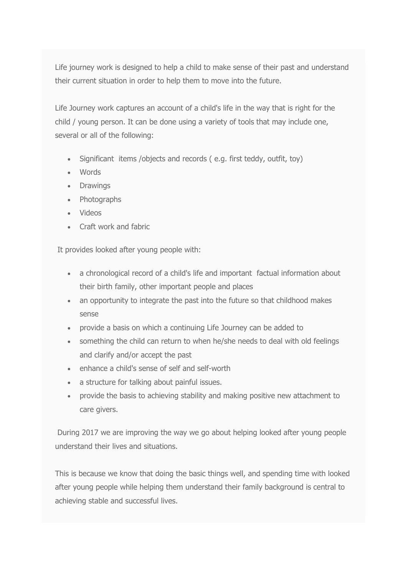Life journey work is designed to help a child to make sense of their past and understand their current situation in order to help them to move into the future.

Life Journey work captures an account of a child's life in the way that is right for the child / young person. It can be done using a variety of tools that may include one, several or all of the following:

- Significant items /objects and records ( e.g. first teddy, outfit, toy)
- Words
- Drawings
- Photographs
- Videos
- Craft work and fabric

It provides looked after young people with:

- a chronological record of a child's life and important factual information about their birth family, other important people and places
- an opportunity to integrate the past into the future so that childhood makes sense
- provide a basis on which a continuing Life Journey can be added to
- something the child can return to when he/she needs to deal with old feelings and clarify and/or accept the past
- enhance a child's sense of self and self-worth
- a structure for talking about painful issues.
- provide the basis to achieving stability and making positive new attachment to care givers.

During 2017 we are improving the way we go about helping looked after young people understand their lives and situations.

This is because we know that doing the basic things well, and spending time with looked after young people while helping them understand their family background is central to achieving stable and successful lives.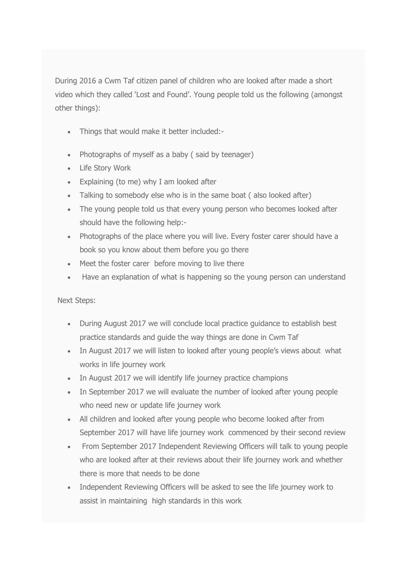During 2016 a Cwm Taf citizen panel of children who are looked after made a short video which they called 'Lost and Found'. Young people told us the following (amongst other things):

- Things that would make it better included:-
- Photographs of myself as a baby (said by teenager)
- Life Story Work
- Explaining (to me) why I am looked after
- Talking to somebody else who is in the same boat ( also looked after)
- The young people told us that every young person who becomes looked after should have the following help:-
- Photographs of the place where you will live. Every foster carer should have a book so you know about them before you go there
- Meet the foster carer before moving to live there
- Have an explanation of what is happening so the young person can understand

Next Steps:

- During August 2017 we will conclude local practice guidance to establish best practice standards and guide the way things are done in Cwm Taf
- In August 2017 we will listen to looked after young people's views about what works in life journey work
- In August 2017 we will identify life journey practice champions
- In September 2017 we will evaluate the number of looked after young people who need new or update life journey work
- All children and looked after young people who become looked after from September 2017 will have life journey work commenced by their second review
- From September 2017 Independent Reviewing Officers will talk to young people who are looked after at their reviews about their life journey work and whether there is more that needs to be done
- Independent Reviewing Officers will be asked to see the life journey work to assist in maintaining high standards in this work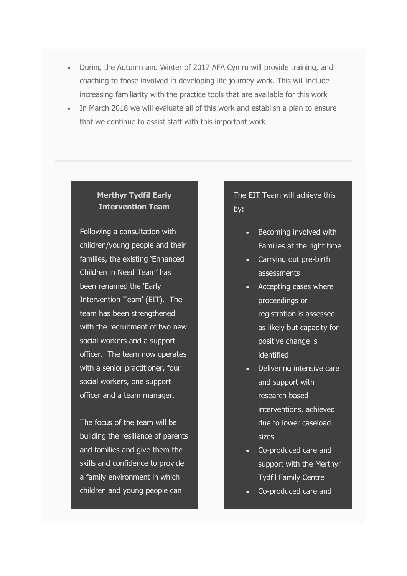- During the Autumn and Winter of 2017 AFA Cymru will provide training, and coaching to those involved in developing life journey work. This will include increasing familiarity with the practice tools that are available for this work
- In March 2018 we will evaluate all of this work and establish a plan to ensure that we continue to assist staff with this important work

### **Merthyr Tydfil Early Intervention Team**

Following a consultation with children/young people and their families, the existing 'Enhanced Children in Need Team' has been renamed the 'Early Intervention Team' (EIT). The team has been strengthened with the recruitment of two new social workers and a support officer. The team now operates with a senior practitioner, four social workers, one support officer and a team manager.

The focus of the team will be building the resilience of parents and families and give them the skills and confidence to provide a family environment in which children and young people can

The EIT Team will achieve this by:

- Becoming involved with Families at the right time
- Carrying out pre-birth assessments
- Accepting cases where proceedings or registration is assessed as likely but capacity for positive change is identified
- Delivering intensive care and support with research based interventions, achieved due to lower caseload sizes
- Co-produced care and support with the Merthyr Tydfil Family Centre
- Co-produced care and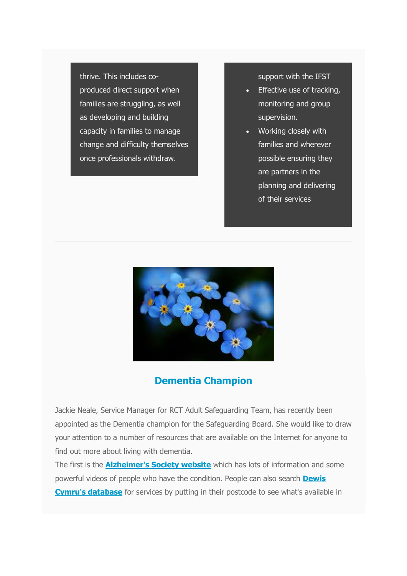thrive. This includes coproduced direct support when families are struggling, as well as developing and building capacity in families to manage change and difficulty themselves once professionals withdraw.

support with the IFST

- Effective use of tracking, monitoring and group supervision.
- Working closely with families and wherever possible ensuring they are partners in the planning and delivering of their services



## **Dementia Champion**

Jackie Neale, Service Manager for RCT Adult Safeguarding Team, has recently been appointed as the Dementia champion for the Safeguarding Board. She would like to draw your attention to a number of resources that are available on the Internet for anyone to find out more about living with dementia.

The first is the **[Alzheimer's Society website](https://www.youtube.com/user/AlzheimersSociety)** which has lots of information and some powerful videos of people who have the condition. People can also search **[Dewis](https://www.dewis.wales/)  [Cymru's database](https://www.dewis.wales/)** for services by putting in their postcode to see what's available in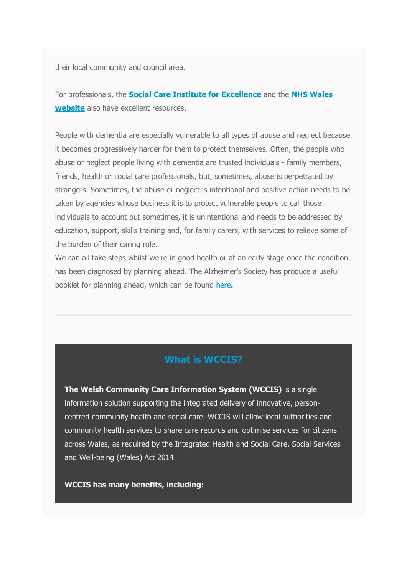their local community and council area.

For professionals, the **[Social Care Institute for Excellence](http://www.scie.org.uk/search?sq=dementia)** and the **[NHS Wales](http://www.wales.nhs.uk/healthtopics/conditions/dementia)  [website](http://www.wales.nhs.uk/healthtopics/conditions/dementia)** also have excellent resources.

People with dementia are especially vulnerable to all types of abuse and neglect because it becomes progressively harder for them to protect themselves. Often, the people who abuse or neglect people living with dementia are trusted individuals - family members, friends, health or social care professionals, but, sometimes, abuse is perpetrated by strangers. Sometimes, the abuse or neglect is intentional and positive action needs to be taken by agencies whose business it is to protect vulnerable people to call those individuals to account but sometimes, it is unintentional and needs to be addressed by education, support, skills training and, for family carers, with services to relieve some of the burden of their caring role.

We can all take steps whilst we're in good health or at an early stage once the condition has been diagnosed by planning ahead. The Alzheimer's Society has produce a useful booklet for planning ahead, which can be found [here](https://www.alzheimers.org.uk/download/downloads/id/3185/living_with_dementia_-_planning_ahead.pdf)**.**

### **What is WCCIS?**

**The Welsh Community Care Information System (WCCIS)** is a single information solution supporting the integrated delivery of innovative, personcentred community health and social care. WCCIS will allow local authorities and community health services to share care records and optimise services for citizens across Wales, as required by the Integrated Health and Social Care, Social Services and Well-being (Wales) Act 2014.

**WCCIS has many benefits, including:**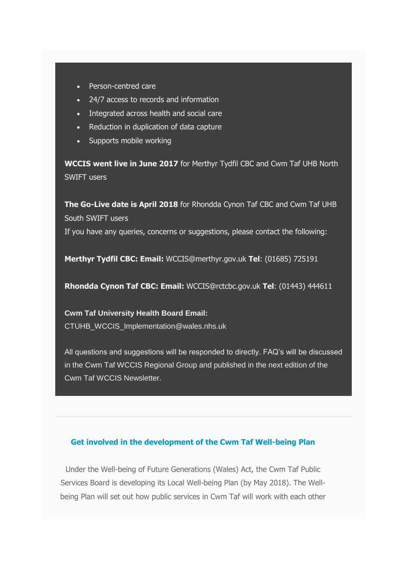- Person-centred care
- 24/7 access to records and information
- Integrated across health and social care
- Reduction in duplication of data capture
- Supports mobile working

**WCCIS went live in June 2017** for Merthyr Tydfil CBC and Cwm Taf UHB North SWIFT users

**The Go-Live date is April 2018** for Rhondda Cynon Taf CBC and Cwm Taf UHB South SWIFT users If you have any queries, concerns or suggestions, please contact the following:

**Merthyr Tydfil CBC: Email:** WCCIS@merthyr.gov.uk **Tel**: (01685) 725191

**Rhondda Cynon Taf CBC: Email:** WCCIS@rctcbc.gov.uk **Tel**: (01443) 444611

**Cwm Taf University Health Board Email:**  CTUHB\_WCCIS\_Implementation@wales.nhs.uk

All questions and suggestions will be responded to directly. FAQ's will be discussed in the Cwm Taf WCCIS Regional Group and published in the next edition of the Cwm Taf WCCIS Newsletter.

#### **Get involved in the development of the Cwm Taf Well-being Plan**

Under the Well-being of Future Generations (Wales) Act, the Cwm Taf Public Services Board is developing its Local Well-being Plan (by May 2018). The Wellbeing Plan will set out how public services in Cwm Taf will work with each other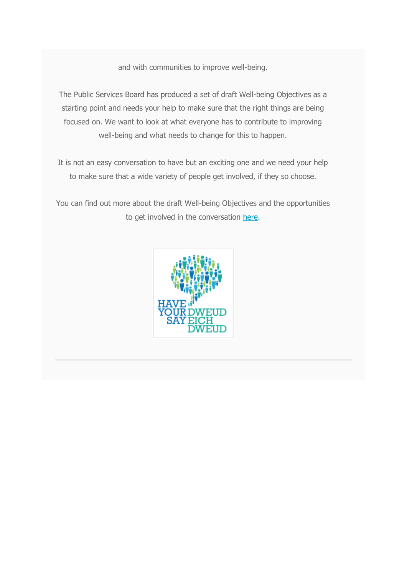and with communities to improve well-being.

The Public Services Board has produced a set of draft Well-being Objectives as a starting point and needs your help to make sure that the right things are being focused on. We want to look at what everyone has to contribute to improving well-being and what needs to change for this to happen.

It is not an easy conversation to have but an exciting one and we need your help to make sure that a wide variety of people get involved, if they so choose.

You can find out more about the draft Well-being Objectives and the opportunities to get involved in the conversation [here.](http://www.ourcwmtaf.wales/objectives)

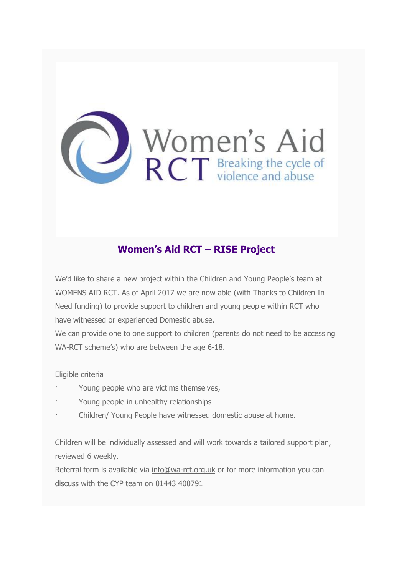

# **Women's Aid RCT – RISE Project**

We'd like to share a new project within the Children and Young People's team at WOMENS AID RCT. As of April 2017 we are now able (with Thanks to Children In Need funding) to provide support to children and young people within RCT who have witnessed or experienced Domestic abuse.

We can provide one to one support to children (parents do not need to be accessing WA-RCT scheme's) who are between the age 6-18.

Eligible criteria

- Young people who are victims themselves,
- Young people in unhealthy relationships
- Children/ Young People have witnessed domestic abuse at home.

Children will be individually assessed and will work towards a tailored support plan, reviewed 6 weekly.

Referral form is available via [info@wa-rct.org.uk](mailto:info@wa-rct.org.uk) or for more information you can discuss with the CYP team on 01443 400791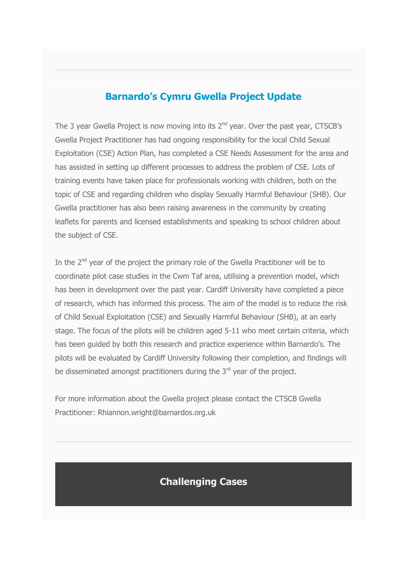## **Barnardo's Cymru Gwella Project Update**

The 3 year Gwella Project is now moving into its  $2^{nd}$  year. Over the past year, CTSCB's Gwella Project Practitioner has had ongoing responsibility for the local Child Sexual Exploitation (CSE) Action Plan, has completed a CSE Needs Assessment for the area and has assisted in setting up different processes to address the problem of CSE. Lots of training events have taken place for professionals working with children, both on the topic of CSE and regarding children who display Sexually Harmful Behaviour (SHB). Our Gwella practitioner has also been raising awareness in the community by creating leaflets for parents and licensed establishments and speaking to school children about the subject of CSE.

In the 2<sup>nd</sup> year of the project the primary role of the Gwella Practitioner will be to coordinate pilot case studies in the Cwm Taf area, utilising a prevention model, which has been in development over the past year. Cardiff University have completed a piece of research, which has informed this process. The aim of the model is to reduce the risk of Child Sexual Exploitation (CSE) and Sexually Harmful Behaviour (SHB), at an early stage. The focus of the pilots will be children aged 5-11 who meet certain criteria, which has been guided by both this research and practice experience within Barnardo's. The pilots will be evaluated by Cardiff University following their completion, and findings will be disseminated amongst practitioners during the  $3<sup>rd</sup>$  year of the project.

For more information about the Gwella project please contact the CTSCB Gwella Practitioner: Rhiannon.wright@barnardos.org.uk

## **Challenging Cases**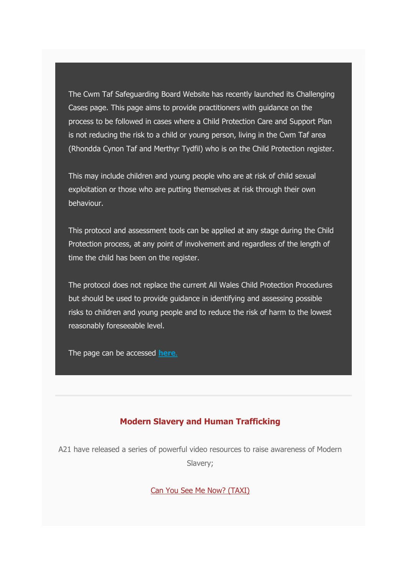The Cwm Taf Safeguarding Board Website has recently launched its Challenging Cases page. This page aims to provide practitioners with guidance on the process to be followed in cases where a Child Protection Care and Support Plan is not reducing the risk to a child or young person, living in the Cwm Taf area (Rhondda Cynon Taf and Merthyr Tydfil) who is on the Child Protection register.

This may include children and young people who are at risk of child sexual exploitation or those who are putting themselves at risk through their own behaviour.

This protocol and assessment tools can be applied at any stage during the Child Protection process, at any point of involvement and regardless of the length of time the child has been on the register.

The protocol does not replace the current All Wales Child Protection Procedures but should be used to provide guidance in identifying and assessing possible risks to children and young people and to reduce the risk of harm to the lowest reasonably foreseeable level.

The page can be accessed **[here](http://www.cwmtafsafeguarding.org/children/professionals/challenging-cases)**.

#### **Modern Slavery and Human Trafficking**

A21 have released a series of powerful video resources to raise awareness of Modern Slavery;

[Can You See Me Now? \(TAXI\)](https://www.youtube.com/watch?v=MYipy-PMw-o)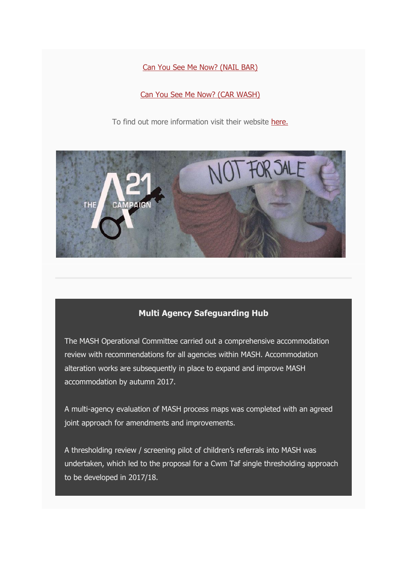[Can You See Me Now? \(NAIL BAR\)](https://www.youtube.com/watch?v=2mGENaiaumw)

[Can You See Me Now? \(CAR WASH\)](https://www.youtube.com/watch?v=yAMd2mC3FJA) 

To find out more information visit their website [here.](http://www.a21.org/)



### **Multi Agency Safeguarding Hub**

The MASH Operational Committee carried out a comprehensive accommodation review with recommendations for all agencies within MASH. Accommodation alteration works are subsequently in place to expand and improve MASH accommodation by autumn 2017.

A multi-agency evaluation of MASH process maps was completed with an agreed joint approach for amendments and improvements.

A thresholding review / screening pilot of children's referrals into MASH was undertaken, which led to the proposal for a Cwm Taf single thresholding approach to be developed in 2017/18.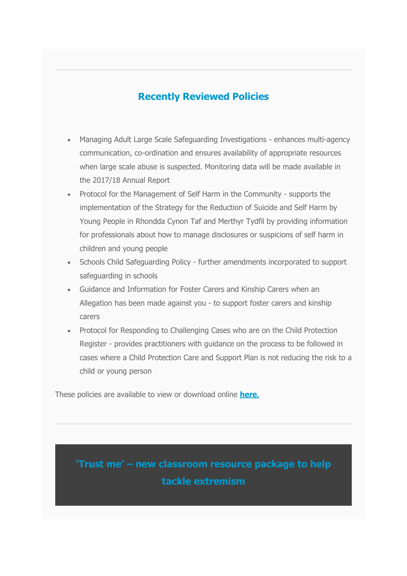# **Recently Reviewed Policies**

- Managing Adult Large Scale Safeguarding Investigations enhances multi-agency communication, co-ordination and ensures availability of appropriate resources when large scale abuse is suspected. Monitoring data will be made available in the 2017/18 Annual Report
- Protocol for the Management of Self Harm in the Community supports the implementation of the Strategy for the Reduction of Suicide and Self Harm by Young People in Rhondda Cynon Taf and Merthyr Tydfil by providing information for professionals about how to manage disclosures or suspicions of self harm in children and young people
- Schools Child Safeguarding Policy further amendments incorporated to support safeguarding in schools
- Guidance and Information for Foster Carers and Kinship Carers when an Allegation has been made against you - to support foster carers and kinship carers
- Protocol for Responding to Challenging Cases who are on the Child Protection Register - provides practitioners with guidance on the process to be followed in cases where a Child Protection Care and Support Plan is not reducing the risk to a child or young person

These policies are available to view or download online **[here](http://www.cwmtafsafeguarding.org/children/professionals/policies-and-procedures/)**.

**'Trust me' – new classroom resource package to help tackle extremism**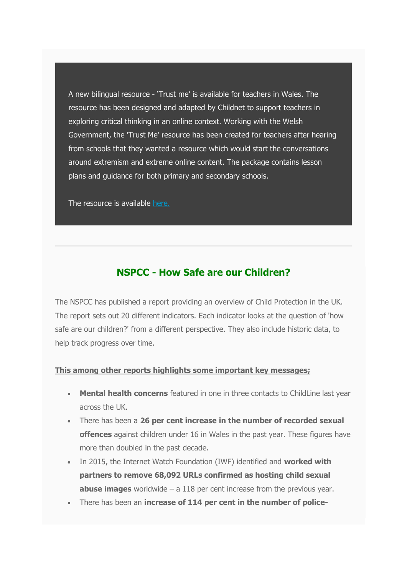A new bilingual resource - 'Trust me' is available for teachers in Wales. The resource has been designed and adapted by Childnet to support teachers in exploring critical thinking in an online context. Working with the Welsh Government, the 'Trust Me' resource has been created for teachers after hearing from schools that they wanted a resource which would start the conversations around extremism and extreme online content. The package contains lesson plans and guidance for both primary and secondary schools.

The resource is available [here.](http://www.childnet.com/resources/trust-me)

## **NSPCC - How Safe are our Children?**

The NSPCC has published a report providing an overview of Child Protection in the UK. The report sets out 20 different indicators. Each indicator looks at the question of 'how safe are our children?' from a different perspective. They also include historic data, to help track progress over time.

#### **This among other reports highlights some important key messages;**

- **Mental health concerns** featured in one in three contacts to ChildLine last year across the UK.
- There has been a **26 per cent increase in the number of recorded sexual offences** against children under 16 in Wales in the past year. These figures have more than doubled in the past decade.
- In 2015, the Internet Watch Foundation (IWF) identified and **worked with partners to remove 68,092 URLs confirmed as hosting child sexual abuse images** worldwide – a 118 per cent increase from the previous year.
- There has been an **increase of 114 per cent in the number of police-**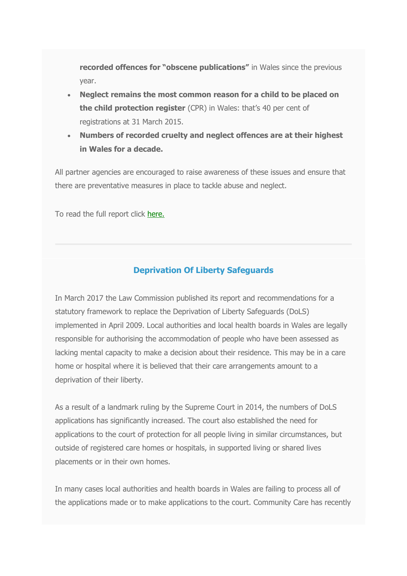**recorded offences for "obscene publications"** in Wales since the previous year.

- **Neglect remains the most common reason for a child to be placed on the child protection register** (CPR) in Wales: that's 40 per cent of registrations at 31 March 2015.
- **Numbers of recorded cruelty and neglect offences are at their highest in Wales for a decade.**

All partner agencies are encouraged to raise awareness of these issues and ensure that there are preventative measures in place to tackle abuse and neglect.

To read the full report click [here.](https://www.nspcc.org.uk/globalassets/documents/research-reports/how-safe-children-2017-report.pdf)

### **Deprivation Of Liberty Safeguards**

In March 2017 the Law Commission published its report and recommendations for a statutory framework to replace the Deprivation of Liberty Safeguards (DoLS) implemented in April 2009. Local authorities and local health boards in Wales are legally responsible for authorising the accommodation of people who have been assessed as lacking mental capacity to make a decision about their residence. This may be in a care home or hospital where it is believed that their care arrangements amount to a deprivation of their liberty.

As a result of a landmark ruling by the Supreme Court in 2014, the numbers of DoLS applications has significantly increased. The court also established the need for applications to the court of protection for all people living in similar circumstances, but outside of registered care homes or hospitals, in supported living or shared lives placements or in their own homes.

In many cases local authorities and health boards in Wales are failing to process all of the applications made or to make applications to the court. Community Care has recently